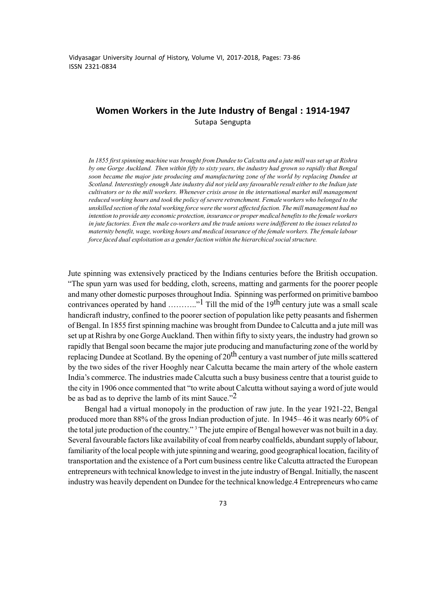Vidyasagar University Journal *of* History, Volume VI, 2017-2018, Pages: 73-86 ISSN 2321-0834

# **Women Workers in the Jute Industry of Bengal : 1914-1947** Sutapa Sengupta

*In 1855 first spinning machine was brought from Dundee to Calcutta and a jute mill was set up at Rishra by one Gorge Auckland. Then within fifty to sixty years, the industry had grown so rapidly that Bengal soon became the major jute producing and manufacturing zone of the world by replacing Dundee at Scotland. Interestingly enough Jute industry did not yield any favourable result either to the Indian jute cultivators or to the mill workers. Whenever crisis arose in the international market mill management reduced working hours and took the policy of severe retrenchment. Female workers who belonged to the unskilled section of the total working force were the worst affected faction. The mill management had no intention to provide any economic protection, insurance or proper medical benefits to the female workers in jute factories. Even the male co-workers and the trade unions were indifferent to the issues related to maternity benefit, wage, working hours and medical insurance of the female workers. The female labour force faced dual exploitation as a gender faction within the hierarchical social structure.*

Jute spinning was extensively practiced by the Indians centuries before the British occupation. "The spun yarn was used for bedding, cloth, screens, matting and garments for the poorer people and many other domestic purposes throughout India. Spinning was performed on primitive bamboo contrivances operated by hand  $\ldots$  <sup>1</sup> Till the mid of the 19<sup>th</sup> century jute was a small scale handicraft industry, confined to the poorer section of population like petty peasants and fishermen of Bengal. In 1855 first spinning machine was brought from Dundee to Calcutta and a jute mill was set up at Rishra by one Gorge Auckland. Then within fifty to sixty years, the industry had grown so rapidly that Bengal soon became the major jute producing and manufacturing zone of the world by replacing Dundee at Scotland. By the opening of  $20<sup>th</sup>$  century a vast number of jute mills scattered by the two sides of the river Hooghly near Calcutta became the main artery of the whole eastern India's commerce. The industries made Calcutta such a busy business centre that a tourist guide to the city in 1906 once commented that "to write about Calcutta without saying a word of jute would be as bad as to deprive the lamb of its mint Sauce. $^{2}$ 

Bengal had a virtual monopoly in the production of raw jute. In the year 1921-22, Bengal produced more than 88% of the gross Indian production of jute. In 1945– 46 it was nearly 60% of the total jute production of the country."<sup>3</sup> The jute empire of Bengal however was not built in a day. Several favourable factors like availability of coal from nearby coalfields, abundant supply of labour, familiarity of the local people with jute spinning and wearing, good geographical location, facility of transportation and the existence of a Port cum business centre like Calcutta attracted the European entrepreneurs with technical knowledge to invest in the jute industry of Bengal. Initially, the nascent industry was heavily dependent on Dundee for the technical knowledge.4 Entrepreneurs who came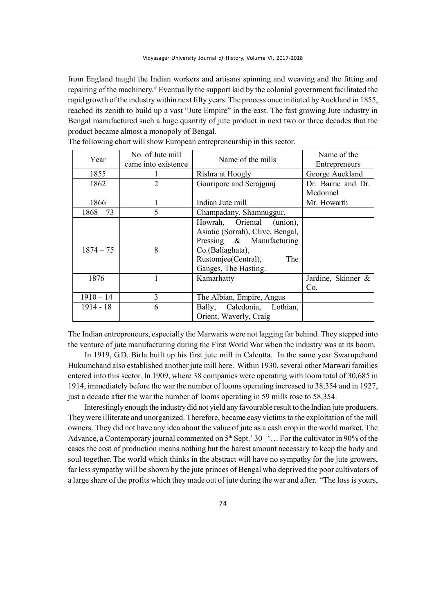from England taught the Indian workers and artisans spinning and weaving and the fitting and repairing of the machinery.4 Eventually the support laid by the colonial government facilitated the rapid growth of the industry within next fifty years. The process once initiated by Auckland in 1855, reached its zenith to build up a vast "Jute Empire" in the east. The fast growing Jute industry in Bengal manufactured such a huge quantity of jute product in next two or three decades that the product became almost a monopoly of Bengal.

| Year        | No. of Jute mill    | Name of the mills                | Name of the        |
|-------------|---------------------|----------------------------------|--------------------|
|             | came into existence |                                  | Entrepreneurs      |
| 1855        |                     | Rishra at Hoogly                 | George Auckland    |
| 1862        | $\overline{2}$      | Gouripore and Serajgunj          | Dr. Barrie and Dr. |
|             |                     |                                  | Mcdonnel           |
| 1866        |                     | Indian Jute mill                 | Mr. Howarth        |
| $1868 - 73$ | 5                   | Champadany, Shamnuggur,          |                    |
|             |                     | Howrah, Oriental (union),        |                    |
|             |                     | Asiatic (Sorrah), Clive, Bengal, |                    |
| $1874 - 75$ | 8                   | Pressing & Manufacturing         |                    |
|             |                     | Co.(Baliaghata),                 |                    |
|             |                     | Rustomjee(Central),<br>The       |                    |
|             |                     | Ganges, The Hasting.             |                    |
| 1876        |                     | Kamarhatty                       | Jardine, Skinner & |
|             |                     |                                  | Co.                |
| $1910 - 14$ | 3                   | The Albian, Empire, Angus        |                    |
| 1914 - 18   | 6                   | Bally, Caledonia, Lothian,       |                    |
|             |                     | Orient, Waverly, Craig           |                    |

The following chart will show European entrepreneurship in this sector.

The Indian entrepreneurs, especially the Marwaris were not lagging far behind. They stepped into the venture of jute manufacturing during the First World War when the industry was at its boom.

In 1919, G.D. Birla built up his first jute mill in Calcutta. In the same year Swarupchand Hukumchand also established another jute mill here. Within 1930, several other Marwari families entered into this sector. In 1909, where 38 companies were operating with loom total of 30,685 in 1914, immediately before the war the number of looms operating increased to 38,354 and in 1927, just a decade after the war the number of looms operating in 59 mills rose to 58,354.

Interestingly enough the industry did not yield any favourable result to the Indian jute producers. They were illiterate and unorganized. Therefore, became easy victims to the exploitation of the mill owners. They did not have any idea about the value of jute as a cash crop in the world market. The Advance, a Contemporary journal commented on  $5<sup>th</sup>$  Sept.'  $30 - 1$ ... For the cultivator in 90% of the cases the cost of production means nothing but the barest amount necessary to keep the body and soul together. The world which thinks in the abstract will have no sympathy for the jute growers, far less sympathy will be shown by the jute princes of Bengal who deprived the poor cultivators of a large share of the profits which they made out of jute during the war and after. "The loss is yours,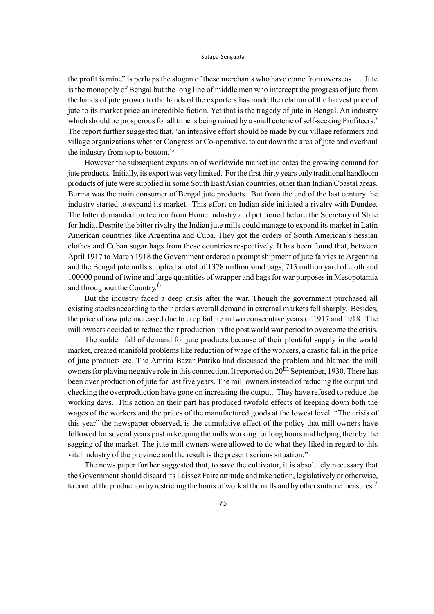the profit is mine" is perhaps the slogan of these merchants who have come from overseas…. Jute is the monopoly of Bengal but the long line of middle men who intercept the progress of jute from the hands of jute grower to the hands of the exporters has made the relation of the harvest price of jute to its market price an incredible fiction. Yet that is the tragedy of jute in Bengal. An industry which should be prosperous for all time is being ruined by a small coterie of self-seeking Profiteers.' The report further suggested that, 'an intensive effort should be made by our village reformers and village organizations whether Congress or Co-operative, to cut down the area of jute and overhaul the industry from top to bottom.'5

However the subsequent expansion of worldwide market indicates the growing demand for jute products. Initially, its export was very limited. For the first thirty years only traditional handloom products of jute were supplied in some South East Asian countries, other than Indian Coastal areas. Burma was the main consumer of Bengal jute products. But from the end of the last century the industry started to expand its market. This effort on Indian side initiated a rivalry with Dundee. The latter demanded protection from Home Industry and petitioned before the Secretary of State for India. Despite the bitter rivalry the Indian jute mills could manage to expand its market in Latin American countries like Argentina and Cuba. They got the orders of South American's hessian clothes and Cuban sugar bags from these countries respectively. It has been found that, between April 1917 to March 1918 the Government ordered a prompt shipment of jute fabrics to Argentina and the Bengal jute mills supplied a total of 1378 million sand bags, 713 million yard of cloth and 100000 pound of twine and large quantities of wrapper and bags for war purposes in Mesopotamia and throughout the Country.6

But the industry faced a deep crisis after the war. Though the government purchased all existing stocks according to their orders overall demand in external markets fell sharply. Besides, the price of raw jute increased due to crop failure in two consecutive years of 1917 and 1918. The mill owners decided to reduce their production in the post world war period to overcome the crisis.

The sudden fall of demand for jute products because of their plentiful supply in the world market, created manifold problems like reduction of wage of the workers, a drastic fall in the price of jute products etc. The Amrita Bazar Patrika had discussed the problem and blamed the mill owners for playing negative role in this connection. It reported on 20<sup>th</sup> September, 1930. There has been over production of jute for last five years. The mill owners instead of reducing the output and checking the overproduction have gone on increasing the output. They have refused to reduce the working days. This action on their part has produced twofold effects of keeping down both the wages of the workers and the prices of the manufactured goods at the lowest level. "The crisis of this year" the newspaper observed, is the cumulative effect of the policy that mill owners have followed for several years past in keeping the mills working for long hours and helping thereby the sagging of the market. The jute mill owners were allowed to do what they liked in regard to this vital industry of the province and the result is the present serious situation."

The news paper further suggested that, to save the cultivator, it is absolutely necessary that the Government should discard its Laissez Faire attitude and take action, legislatively or otherwise, to control the production by restricting the hours of work at the mills and by other suitable measures.<sup>7</sup>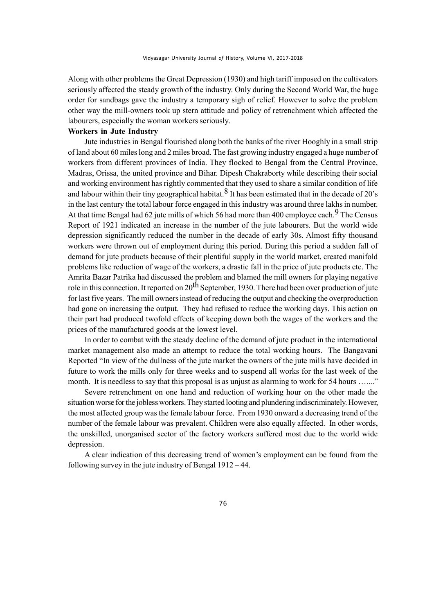Along with other problems the Great Depression (1930) and high tariff imposed on the cultivators seriously affected the steady growth of the industry. Only during the Second World War, the huge order for sandbags gave the industry a temporary sigh of relief. However to solve the problem other way the mill-owners took up stern attitude and policy of retrenchment which affected the labourers, especially the woman workers seriously.

## **Workers in Jute Industry**

Jute industries in Bengal flourished along both the banks of the river Hooghly in a small strip of land about 60 miles long and 2 miles broad. The fast growing industry engaged a huge number of workers from different provinces of India. They flocked to Bengal from the Central Province, Madras, Orissa, the united province and Bihar. Dipesh Chakraborty while describing their social and working environment has rightly commented that they used to share a similar condition of life and labour within their tiny geographical habitat.<sup>8</sup> It has been estimated that in the decade of 20's in the last century the total labour force engaged in this industry was around three lakhs in number. At that time Bengal had 62 jute mills of which 56 had more than 400 employee each.<sup>9</sup> The Census Report of 1921 indicated an increase in the number of the jute labourers. But the world wide depression significantly reduced the number in the decade of early 30s. Almost fifty thousand workers were thrown out of employment during this period. During this period a sudden fall of demand for jute products because of their plentiful supply in the world market, created manifold problems like reduction of wage of the workers, a drastic fall in the price of jute products etc. The Amrita Bazar Patrika had discussed the problem and blamed the mill owners for playing negative role in this connection. It reported on 20<sup>th</sup> September, 1930. There had been over production of jute for last five years. The mill owners instead of reducing the output and checking the overproduction had gone on increasing the output. They had refused to reduce the working days. This action on their part had produced twofold effects of keeping down both the wages of the workers and the prices of the manufactured goods at the lowest level.

In order to combat with the steady decline of the demand of jute product in the international market management also made an attempt to reduce the total working hours. The Bangavani Reported "In view of the dullness of the jute market the owners of the jute mills have decided in future to work the mills only for three weeks and to suspend all works for the last week of the month. It is needless to say that this proposal is as unjust as alarming to work for 54 hours ......."

Severe retrenchment on one hand and reduction of working hour on the other made the situation worse for the jobless workers. They started looting and plundering indiscriminately. However, the most affected group was the female labour force. From 1930 onward a decreasing trend of the number of the female labour was prevalent. Children were also equally affected. In other words, the unskilled, unorganised sector of the factory workers suffered most due to the world wide depression.

A clear indication of this decreasing trend of women's employment can be found from the following survey in the jute industry of Bengal 1912 – 44.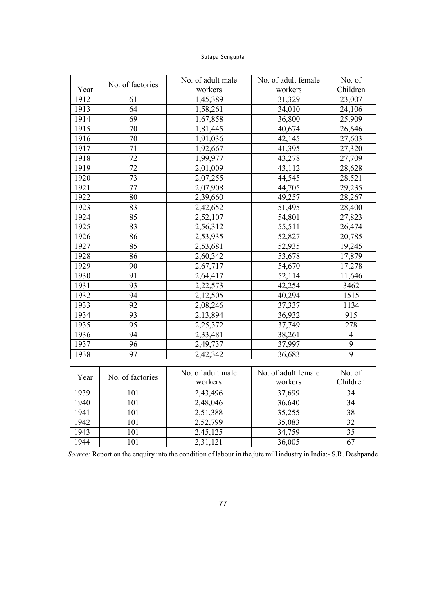| Year | No. of factories | No. of adult male     | No. of adult female | No. of         |  |  |
|------|------------------|-----------------------|---------------------|----------------|--|--|
|      |                  | workers               | workers             | Children       |  |  |
| 1912 | 61               | 1,45,389              | 31,329              | 23,007         |  |  |
| 1913 | 64               | 1,58,261              | 34,010              | 24,106         |  |  |
| 1914 | 69               | 1,67,858              | 36,800              | 25,909         |  |  |
| 1915 | 70               | 1,81,445              | 40,674              | 26,646         |  |  |
| 1916 | $\overline{70}$  | 1,91,036              | 42,145              | 27,603         |  |  |
| 1917 | $\overline{71}$  | $\overline{1,}92,667$ | 41,395              | 27,320         |  |  |
| 1918 | $\overline{72}$  | 1,99,977              | 43,278              | 27,709         |  |  |
| 1919 | $\overline{72}$  | 2,01,009              | 43,112              | 28,628         |  |  |
| 1920 | 73               | 2,07,255              | 44,545              | 28,521         |  |  |
| 1921 | 77               | 2,07,908              | 44,705              | 29,235         |  |  |
| 1922 | 80               | 2,39,660              | 49,257              | 28,267         |  |  |
| 1923 | 83               | 2,42,652              | 51,495              | 28,400         |  |  |
| 1924 | 85               | 2,52,107              | 54,801              | 27,823         |  |  |
| 1925 | 83               | 2,56,312              | 55,511              | 26,474         |  |  |
| 1926 | 86               | 2,53,935              | 52,827              | 20,785         |  |  |
| 1927 | 85               | 2,53,681              | 52,935              | 19,245         |  |  |
| 1928 | 86               | 2,60,342              | 53,678              | 17,879         |  |  |
| 1929 | 90               | 2,67,717              | 54,670              | 17,278         |  |  |
| 1930 | 91               | 2,64,417              | 52,114              | 11,646         |  |  |
| 1931 | 93               | 2,22,573              | 42,254              | 3462           |  |  |
| 1932 | 94               | 2,12,505              | 40,294              | 1515           |  |  |
| 1933 | 92               | 2,08,246              | 37,337              | 1134           |  |  |
| 1934 | 93               | 2,13,894              | 36,932              | 915            |  |  |
| 1935 | 95               | 2,25,372              | 37,749              | 278            |  |  |
| 1936 | $\overline{94}$  | 2,33,481              | 38,261              | $\overline{4}$ |  |  |
| 1937 | $\overline{96}$  | 2,49,737              | 37,997              | $\overline{9}$ |  |  |
| 1938 | 97               | 2,42,342              | 36,683              | $\overline{9}$ |  |  |
|      |                  |                       |                     |                |  |  |
| Year | No. of factories | No. of adult male     | No. of adult female | No. of         |  |  |
|      |                  | workers               | workers             | Children       |  |  |
| 1939 | 101              | 2,43,496              | 37,699              | 34             |  |  |
| 1940 | 101              | 2,48,046              | 36,640              | 34             |  |  |
| 1941 | 101              | 2,51,388              | 35,255              | 38             |  |  |
| 1942 | 101              | 2,52,799              | 35,083              | 32             |  |  |
| 1943 | 101              | 2,45,125              | 34,759              | 35             |  |  |
| 1944 | 101              | 2,31,121              | 36,005              | 67             |  |  |

*Source:* Report on the enquiry into the condition of labour in the jute mill industry in India:- S.R. Deshpande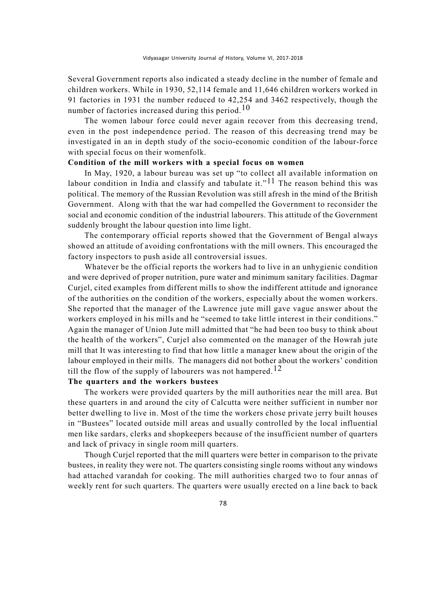Several Government reports also indicated a steady decline in the number of female and children workers. While in 1930, 52,114 female and 11,646 children workers worked in 91 factories in 1931 the number reduced to 42,254 and 3462 respectively, though the number of factories increased during this period.<sup>10</sup>

The women labour force could never again recover from this decreasing trend, even in the post independence period. The reason of this decreasing trend may be investigated in an in depth study of the socio-economic condition of the labour-force with special focus on their womenfolk.

# **Condition of the mill workers with a special focus on women**

In May, 1920, a labour bureau was set up "to collect all available information on labour condition in India and classify and tabulate it."<sup>11</sup> The reason behind this was political. The memory of the Russian Revolution was still afresh in the mind of the British Government. Along with that the war had compelled the Government to reconsider the social and economic condition of the industrial labourers. This attitude of the Government suddenly brought the labour question into lime light.

The contemporary official reports showed that the Government of Bengal always showed an attitude of avoiding confrontations with the mill owners. This encouraged the factory inspectors to push aside all controversial issues.

Whatever be the official reports the workers had to live in an unhygienic condition and were deprived of proper nutrition, pure water and minimum sanitary facilities. Dagmar Curjel, cited examples from different mills to show the indifferent attitude and ignorance of the authorities on the condition of the workers, especially about the women workers. She reported that the manager of the Lawrence jute mill gave vague answer about the workers employed in his mills and he "seemed to take little interest in their conditions." Again the manager of Union Jute mill admitted that "he had been too busy to think about the health of the workers", Curjel also commented on the manager of the Howrah jute mill that It was interesting to find that how little a manager knew about the origin of the labour employed in their mills. The managers did not bother about the workers' condition till the flow of the supply of labourers was not hampered.<sup>12</sup>

# **The quarters and the workers bustees**

The workers were provided quarters by the mill authorities near the mill area. But these quarters in and around the city of Calcutta were neither sufficient in number nor better dwelling to live in. Most of the time the workers chose private jerry built houses in "Bustees" located outside mill areas and usually controlled by the local influential men like sardars, clerks and shopkeepers because of the insufficient number of quarters and lack of privacy in single room mill quarters.

Though Curjel reported that the mill quarters were better in comparison to the private bustees, in reality they were not. The quarters consisting single rooms without any windows had attached varandah for cooking. The mill authorities charged two to four annas of weekly rent for such quarters. The quarters were usually erected on a line back to back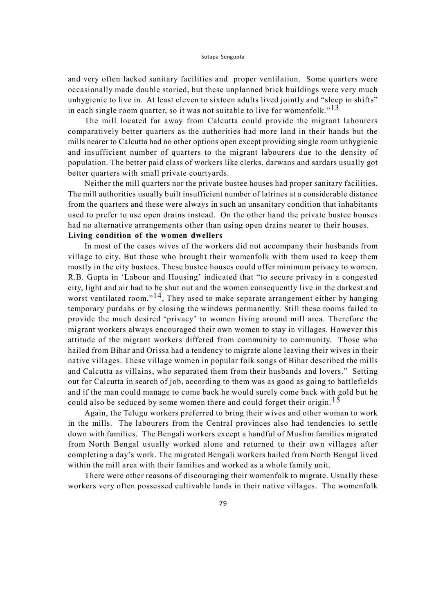and very often lacked sanitary facilities and proper ventilation. Some quarters were occasionally made double storied, but these unplanned brick buildings were very much unhygienic to live in. At least eleven to sixteen adults lived jointly and "sleep in shifts" in each single room quarter, so it was not suitable to live for womenfolk."<sup>13</sup>

The mill located far away from Calcutta could provide the migrant labourers comparatively better quarters as the authorities had more land in their hands but the mills nearer to Calcutta had no other options open except providing single room unhygienic and insufficient number of quarters to the migrant labourers due to the density of population. The better paid class of workers like clerks, darwans and sardars usually got better quarters with small private courtyards.

Neither the mill quarters nor the private bustee houses had proper sanitary facilities. The mill authorities usually built insufficient number of latrines at a considerable distance from the quarters and these were always in such an unsanitary condition that inhabitants used to prefer to use open drains instead. On the other hand the private bustee houses had no alternative arrangements other than using open drains nearer to their houses. **Living condition of the women dwellers**

# In most of the cases wives of the workers did not accompany their husbands from village to city. But those who brought their womenfolk with them used to keep them mostly in the city bustees. These bustee houses could offer minimum privacy to women. R.B. Gupta in 'Labour and Housing' indicated that "to secure privacy in a congested city, light and air had to be shut out and the women consequently live in the darkest and worst ventilated room."<sup>14</sup>, They used to make separate arrangement either by hanging temporary purdahs or by closing the windows permanently. Still these rooms failed to provide the much desired 'privacy' to women living around mill area. Therefore the migrant workers always encouraged their own women to stay in villages. However this attitude of the migrant workers differed from community to community. Those who hailed from Bihar and Orissa had a tendency to migrate alone leaving their wives in their native villages. These village women in popular folk songs of Bihar described the mills and Calcutta as villains, who separated them from their husbands and lovers." Setting out for Calcutta in search of job, according to them was as good as going to battlefields and if the man could manage to come back he would surely come back with gold but he could also be seduced by some women there and could forget their origin.<sup>15</sup>

Again, the Telugu workers preferred to bring their wives and other woman to work in the mills. The labourers from the Central provinces also had tendencies to settle down with families. The Bengali workers except a handful of Muslim families migrated from North Bengal usually worked alone and returned to their own villages after completing a day's work. The migrated Bengali workers hailed from North Bengal lived within the mill area with their families and worked as a whole family unit.

There were other reasons of discouraging their womenfolk to migrate. Usually these workers very often possessed cultivable lands in their native villages. The womenfolk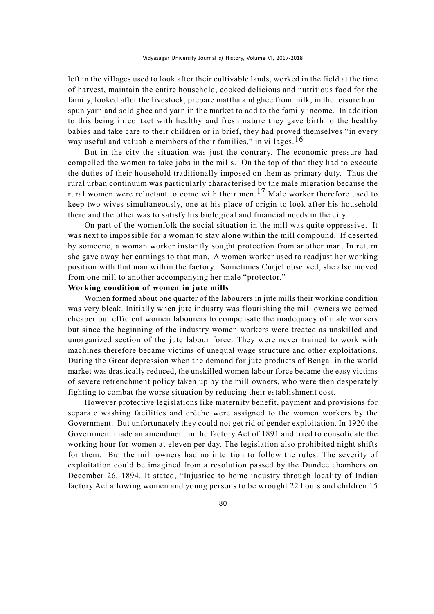left in the villages used to look after their cultivable lands, worked in the field at the time of harvest, maintain the entire household, cooked delicious and nutritious food for the family, looked after the livestock, prepare mattha and ghee from milk; in the leisure hour spun yarn and sold ghee and yarn in the market to add to the family income. In addition to this being in contact with healthy and fresh nature they gave birth to the healthy babies and take care to their children or in brief, they had proved themselves "in every way useful and valuable members of their families," in villages.<sup>16</sup>

But in the city the situation was just the contrary. The economic pressure had compelled the women to take jobs in the mills. On the top of that they had to execute the duties of their household traditionally imposed on them as primary duty. Thus the rural urban continuum was particularly characterised by the male migration because the rural women were reluctant to come with their men.<sup>17</sup> Male worker therefore used to keep two wives simultaneously, one at his place of origin to look after his household there and the other was to satisfy his biological and financial needs in the city.

On part of the womenfolk the social situation in the mill was quite oppressive. It was next to impossible for a woman to stay alone within the mill compound. If deserted by someone, a woman worker instantly sought protection from another man. In return she gave away her earnings to that man. A women worker used to readjust her working position with that man within the factory. Sometimes Curjel observed, she also moved from one mill to another accompanying her male "protector."

### **Working condition of women in jute mills**

Women formed about one quarter of the labourers in jute mills their working condition was very bleak. Initially when jute industry was flourishing the mill owners welcomed cheaper but efficient women labourers to compensate the inadequacy of male workers but since the beginning of the industry women workers were treated as unskilled and unorganized section of the jute labour force. They were never trained to work with machines therefore became victims of unequal wage structure and other exploitations. During the Great depression when the demand for jute products of Bengal in the world market was drastically reduced, the unskilled women labour force became the easy victims of severe retrenchment policy taken up by the mill owners, who were then desperately fighting to combat the worse situation by reducing their establishment cost.

However protective legislations like maternity benefit, payment and provisions for separate washing facilities and crèche were assigned to the women workers by the Government. But unfortunately they could not get rid of gender exploitation. In 1920 the Government made an amendment in the factory Act of 1891 and tried to consolidate the working hour for women at eleven per day. The legislation also prohibited night shifts for them. But the mill owners had no intention to follow the rules. The severity of exploitation could be imagined from a resolution passed by the Dundee chambers on December 26, 1894. It stated, "Injustice to home industry through locality of Indian factory Act allowing women and young persons to be wrought 22 hours and children 15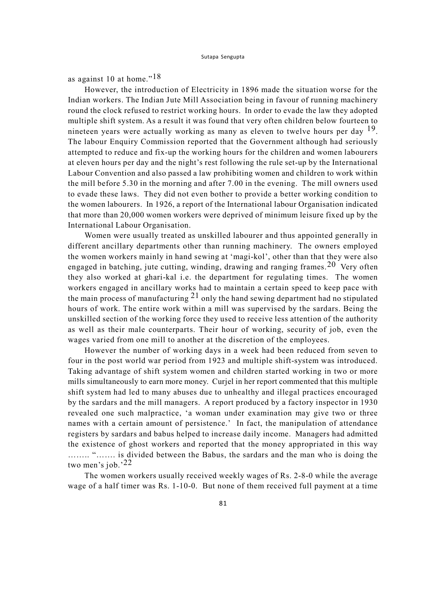as against 10 at home."<sup>18</sup>

However, the introduction of Electricity in 1896 made the situation worse for the Indian workers. The Indian Jute Mill Association being in favour of running machinery round the clock refused to restrict working hours. In order to evade the law they adopted multiple shift system. As a result it was found that very often children below fourteen to nineteen years were actually working as many as eleven to twelve hours per day <sup>19</sup>. The labour Enquiry Commission reported that the Government although had seriously attempted to reduce and fix-up the working hours for the children and women labourers at eleven hours per day and the night's rest following the rule set-up by the International Labour Convention and also passed a law prohibiting women and children to work within the mill before 5.30 in the morning and after 7.00 in the evening. The mill owners used to evade these laws. They did not even bother to provide a better working condition to the women labourers. In 1926, a report of the International labour Organisation indicated that more than 20,000 women workers were deprived of minimum leisure fixed up by the International Labour Organisation.

Women were usually treated as unskilled labourer and thus appointed generally in different ancillary departments other than running machinery. The owners employed the women workers mainly in hand sewing at 'magi-kol', other than that they were also engaged in batching, jute cutting, winding, drawing and ranging frames.<sup>20</sup> Very often they also worked at ghari-kal i.e. the department for regulating times. The women workers engaged in ancillary works had to maintain a certain speed to keep pace with the main process of manufacturing  $2<sup>1</sup>$  only the hand sewing department had no stipulated hours of work. The entire work within a mill was supervised by the sardars. Being the unskilled section of the working force they used to receive less attention of the authority as well as their male counterparts. Their hour of working, security of job, even the wages varied from one mill to another at the discretion of the employees.

However the number of working days in a week had been reduced from seven to four in the post world war period from 1923 and multiple shift-system was introduced. Taking advantage of shift system women and children started working in two or more mills simultaneously to earn more money. Curjel in her report commented that this multiple shift system had led to many abuses due to unhealthy and illegal practices encouraged by the sardars and the mill managers. A report produced by a factory inspector in 1930 revealed one such malpractice, 'a woman under examination may give two or three names with a certain amount of persistence.' In fact, the manipulation of attendance registers by sardars and babus helped to increase daily income. Managers had admitted the existence of ghost workers and reported that the money appropriated in this way …….. "……. is divided between the Babus, the sardars and the man who is doing the two men's job.'22

The women workers usually received weekly wages of Rs. 2-8-0 while the average wage of a half timer was Rs. 1-10-0. But none of them received full payment at a time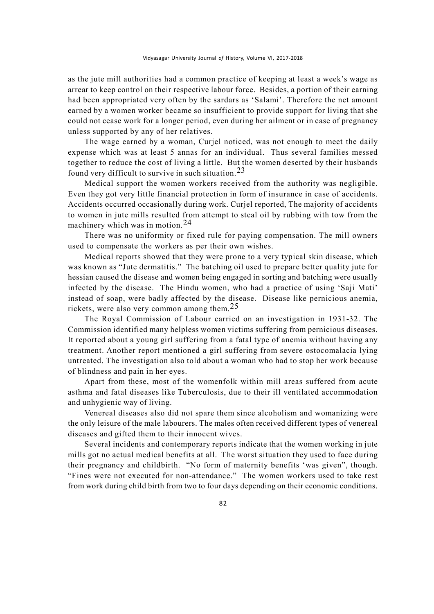as the jute mill authorities had a common practice of keeping at least a week's wage as arrear to keep control on their respective labour force. Besides, a portion of their earning had been appropriated very often by the sardars as 'Salami'. Therefore the net amount earned by a women worker became so insufficient to provide support for living that she could not cease work for a longer period, even during her ailment or in case of pregnancy unless supported by any of her relatives.

The wage earned by a woman, Curjel noticed, was not enough to meet the daily expense which was at least 5 annas for an individual. Thus several families messed together to reduce the cost of living a little. But the women deserted by their husbands found very difficult to survive in such situation.  $23$ 

Medical support the women workers received from the authority was negligible. Even they got very little financial protection in form of insurance in case of accidents. Accidents occurred occasionally during work. Curjel reported, The majority of accidents to women in jute mills resulted from attempt to steal oil by rubbing with tow from the machinery which was in motion.24

There was no uniformity or fixed rule for paying compensation. The mill owners used to compensate the workers as per their own wishes.

Medical reports showed that they were prone to a very typical skin disease, which was known as "Jute dermatitis." The batching oil used to prepare better quality jute for hessian caused the disease and women being engaged in sorting and batching were usually infected by the disease. The Hindu women, who had a practice of using 'Saji Mati' instead of soap, were badly affected by the disease. Disease like pernicious anemia, rickets, were also very common among them.<sup>25</sup>

The Royal Commission of Labour carried on an investigation in 1931-32. The Commission identified many helpless women victims suffering from pernicious diseases. It reported about a young girl suffering from a fatal type of anemia without having any treatment. Another report mentioned a girl suffering from severe ostocomalacia lying untreated. The investigation also told about a woman who had to stop her work because of blindness and pain in her eyes.

Apart from these, most of the womenfolk within mill areas suffered from acute asthma and fatal diseases like Tuberculosis, due to their ill ventilated accommodation and unhygienic way of living.

Venereal diseases also did not spare them since alcoholism and womanizing were the only leisure of the male labourers. The males often received different types of venereal diseases and gifted them to their innocent wives.

Several incidents and contemporary reports indicate that the women working in jute mills got no actual medical benefits at all. The worst situation they used to face during their pregnancy and childbirth. "No form of maternity benefits 'was given", though. "Fines were not executed for non-attendance." The women workers used to take rest from work during child birth from two to four days depending on their economic conditions.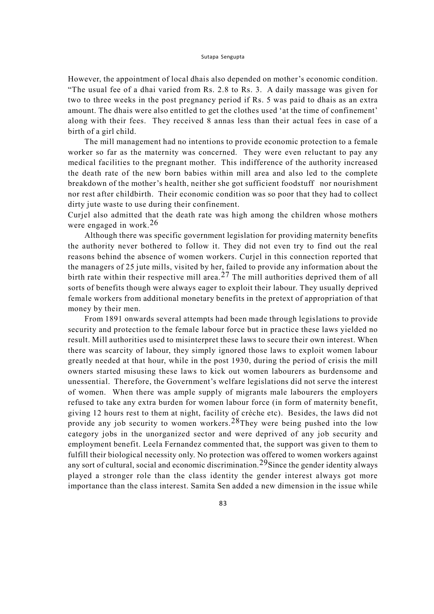However, the appointment of local dhais also depended on mother's economic condition. "The usual fee of a dhai varied from Rs. 2.8 to Rs. 3. A daily massage was given for two to three weeks in the post pregnancy period if Rs. 5 was paid to dhais as an extra amount. The dhais were also entitled to get the clothes used 'at the time of confinement' along with their fees. They received 8 annas less than their actual fees in case of a birth of a girl child.

The mill management had no intentions to provide economic protection to a female worker so far as the maternity was concerned. They were even reluctant to pay any medical facilities to the pregnant mother. This indifference of the authority increased the death rate of the new born babies within mill area and also led to the complete breakdown of the mother's health, neither she got sufficient foodstuff nor nourishment nor rest after childbirth. Their economic condition was so poor that they had to collect dirty jute waste to use during their confinement.

Curjel also admitted that the death rate was high among the children whose mothers were engaged in work.26

Although there was specific government legislation for providing maternity benefits the authority never bothered to follow it. They did not even try to find out the real reasons behind the absence of women workers. Curjel in this connection reported that the managers of 25 jute mills, visited by her, failed to provide any information about the birth rate within their respective mill area.<sup>27</sup> The mill authorities deprived them of all sorts of benefits though were always eager to exploit their labour. They usually deprived female workers from additional monetary benefits in the pretext of appropriation of that money by their men.

From 1891 onwards several attempts had been made through legislations to provide security and protection to the female labour force but in practice these laws yielded no result. Mill authorities used to misinterpret these laws to secure their own interest. When there was scarcity of labour, they simply ignored those laws to exploit women labour greatly needed at that hour, while in the post 1930, during the period of crisis the mill owners started misusing these laws to kick out women labourers as burdensome and unessential. Therefore, the Government's welfare legislations did not serve the interest of women. When there was ample supply of migrants male labourers the employers refused to take any extra burden for women labour force (in form of maternity benefit, giving 12 hours rest to them at night, facility of crèche etc). Besides, the laws did not provide any job security to women workers.28They were being pushed into the low category jobs in the unorganized sector and were deprived of any job security and employment benefit. Leela Fernandez commented that, the support was given to them to fulfill their biological necessity only. No protection was offered to women workers against any sort of cultural, social and economic discrimination.<sup>29</sup>Since the gender identity always played a stronger role than the class identity the gender interest always got more importance than the class interest. Samita Sen added a new dimension in the issue while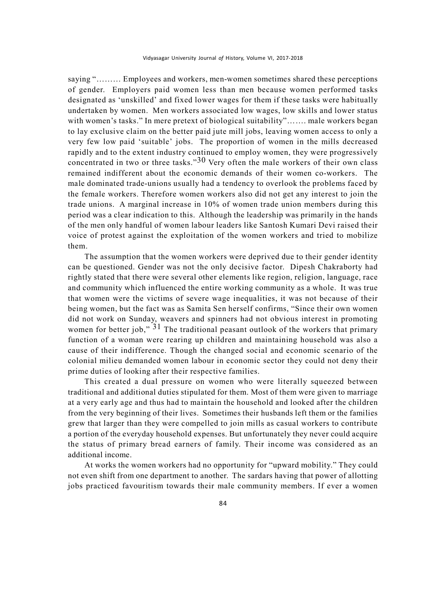saying "……… Employees and workers, men-women sometimes shared these perceptions of gender. Employers paid women less than men because women performed tasks designated as 'unskilled' and fixed lower wages for them if these tasks were habitually undertaken by women. Men workers associated low wages, low skills and lower status with women's tasks." In mere pretext of biological suitability"....... male workers began to lay exclusive claim on the better paid jute mill jobs, leaving women access to only a very few low paid 'suitable' jobs. The proportion of women in the mills decreased rapidly and to the extent industry continued to employ women, they were progressively concentrated in two or three tasks." $30$  Very often the male workers of their own class remained indifferent about the economic demands of their women co-workers. The male dominated trade-unions usually had a tendency to overlook the problems faced by the female workers. Therefore women workers also did not get any interest to join the trade unions. A marginal increase in 10% of women trade union members during this period was a clear indication to this. Although the leadership was primarily in the hands of the men only handful of women labour leaders like Santosh Kumari Devi raised their voice of protest against the exploitation of the women workers and tried to mobilize them.

The assumption that the women workers were deprived due to their gender identity can be questioned. Gender was not the only decisive factor. Dipesh Chakraborty had rightly stated that there were several other elements like region, religion, language, race and community which influenced the entire working community as a whole. It was true that women were the victims of severe wage inequalities, it was not because of their being women, but the fact was as Samita Sen herself confirms, "Since their own women did not work on Sunday, weavers and spinners had not obvious interest in promoting women for better job,"  $3<sup>1</sup>$  The traditional peasant outlook of the workers that primary function of a woman were rearing up children and maintaining household was also a cause of their indifference. Though the changed social and economic scenario of the colonial milieu demanded women labour in economic sector they could not deny their prime duties of looking after their respective families.

This created a dual pressure on women who were literally squeezed between traditional and additional duties stipulated for them. Most of them were given to marriage at a very early age and thus had to maintain the household and looked after the children from the very beginning of their lives. Sometimes their husbands left them or the families grew that larger than they were compelled to join mills as casual workers to contribute a portion of the everyday household expenses. But unfortunately they never could acquire the status of primary bread earners of family. Their income was considered as an additional income.

At works the women workers had no opportunity for "upward mobility." They could not even shift from one department to another. The sardars having that power of allotting jobs practiced favouritism towards their male community members. If ever a women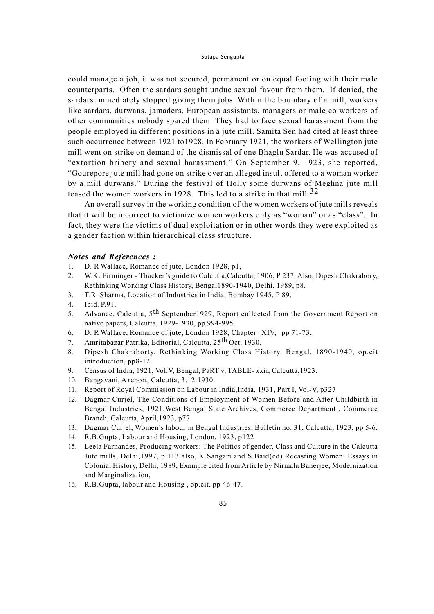could manage a job, it was not secured, permanent or on equal footing with their male counterparts. Often the sardars sought undue sexual favour from them. If denied, the sardars immediately stopped giving them jobs. Within the boundary of a mill, workers like sardars, durwans, jamaders, European assistants, managers or male co workers of other communities nobody spared them. They had to face sexual harassment from the people employed in different positions in a jute mill. Samita Sen had cited at least three such occurrence between 1921 to1928. In February 1921, the workers of Wellington jute mill went on strike on demand of the dismissal of one Bhaglu Sardar. He was accused of "extortion bribery and sexual harassment." On September 9, 1923, she reported, "Gourepore jute mill had gone on strike over an alleged insult offered to a woman worker by a mill durwans." During the festival of Holly some durwans of Meghna jute mill teased the women workers in 1928. This led to a strike in that mill.<sup>32</sup>

An overall survey in the working condition of the women workers of jute mills reveals that it will be incorrect to victimize women workers only as "woman" or as "class". In fact, they were the victims of dual exploitation or in other words they were exploited as a gender faction within hierarchical class structure.

### *Notes and References :*

- 1. D. R Wallace, Romance of jute, London 1928, p1,
- 2. W.K. Firminger Thacker's guide to Calcutta,Calcutta, 1906, P 237, Also, Dipesh Chakrabory, Rethinking Working Class History, Bengal1890-1940, Delhi, 1989, p8.
- 3. T.R. Sharma, Location of Industries in India, Bombay 1945, P 89,
- 4. Ibid. P.91.
- 5. Advance, Calcutta, 5<sup>th</sup> September1929, Report collected from the Government Report on native papers, Calcutta, 1929-1930, pp 994-995.
- 6. D. R Wallace, Romance of jute, London 1928, Chapter XIV, pp 71-73.
- 7. Amritabazar Patrika, Editorial, Calcutta, 25<sup>th</sup> Oct. 1930.
- 8. Dipesh Chakraborty, Rethinking Working Class History, Bengal, 1890-1940, op.cit introduction, pp8-12.
- 9. Census of India, 1921, Vol.V, Bengal, PaRT v, TABLE- xxii, Calcutta,1923.
- 10. Bangavani, A report, Calcutta, 3.12.1930.
- 11. Report of Royal Commission on Labour in India,India, 1931, Part I, Vol-V, p327
- 12. Dagmar Curjel, The Conditions of Employment of Women Before and After Childbirth in Bengal Industries, 1921,West Bengal State Archives, Commerce Department , Commerce Branch, Calcutta, April,1923, p77
- 13. Dagmar Curjel, Women's labour in Bengal Industries, Bulletin no. 31, Calcutta, 1923, pp 5-6.
- 14. R.B.Gupta, Labour and Housing, London, 1923, p122
- 15. Leela Farnandes, Producing workers: The Politics of gender, Class and Culture in the Calcutta Jute mills, Delhi,1997, p 113 also, K.Sangari and S.Baid(ed) Recasting Women: Essays in Colonial History, Delhi, 1989, Example cited from Article by Nirmala Banerjee, Modernization and Marginalization,
- 16. R.B.Gupta, labour and Housing , op.cit. pp 46-47.